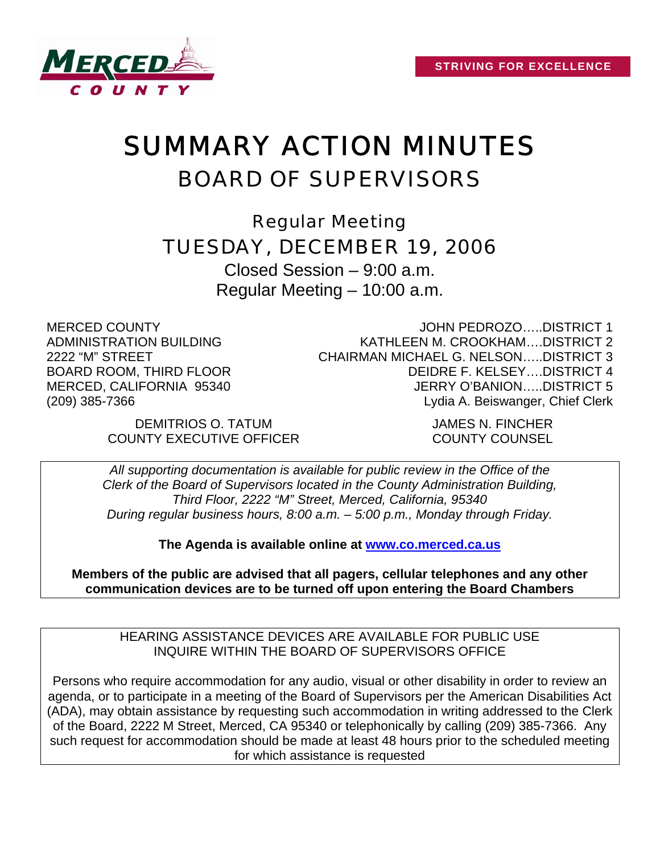

# SUMMARY ACTION MINUTES BOARD OF SUPERVISORS

Regular Meeting TUESDAY, DECEMBER 19, 2006

Closed Session – 9:00 a.m. Regular Meeting – 10:00 a.m.

MERCED COUNTY ADMINISTRATION BUILDING 2222 "M" STREET BOARD ROOM, THIRD FLOOR MERCED, CALIFORNIA 95340 (209) 385-7366

JOHN PEDROZO…..DISTRICT 1 KATHLEEN M. CROOKHAM….DISTRICT 2 CHAIRMAN MICHAEL G. NELSON…..DISTRICT 3 DEIDRE F. KELSEY….DISTRICT 4 JERRY O'BANION…..DISTRICT 5 Lydia A. Beiswanger, Chief Clerk

DEMITRIOS O. TATUM JAMES N. FINCHER COUNTY EXECUTIVE OFFICER COUNTY COUNSEL

*All supporting documentation is available for public review in the Office of the Clerk of the Board of Supervisors located in the County Administration Building, Third Floor, 2222 "M" Street, Merced, California, 95340 During regular business hours, 8:00 a.m. – 5:00 p.m., Monday through Friday.* 

**The Agenda is available online at [www.co.merced.ca.us](http://www.co.merced.ca.us/)**

**Members of the public are advised that all pagers, cellular telephones and any other communication devices are to be turned off upon entering the Board Chambers**

HEARING ASSISTANCE DEVICES ARE AVAILABLE FOR PUBLIC USE INQUIRE WITHIN THE BOARD OF SUPERVISORS OFFICE

Persons who require accommodation for any audio, visual or other disability in order to review an agenda, or to participate in a meeting of the Board of Supervisors per the American Disabilities Act (ADA), may obtain assistance by requesting such accommodation in writing addressed to the Clerk of the Board, 2222 M Street, Merced, CA 95340 or telephonically by calling (209) 385-7366. Any such request for accommodation should be made at least 48 hours prior to the scheduled meeting for which assistance is requested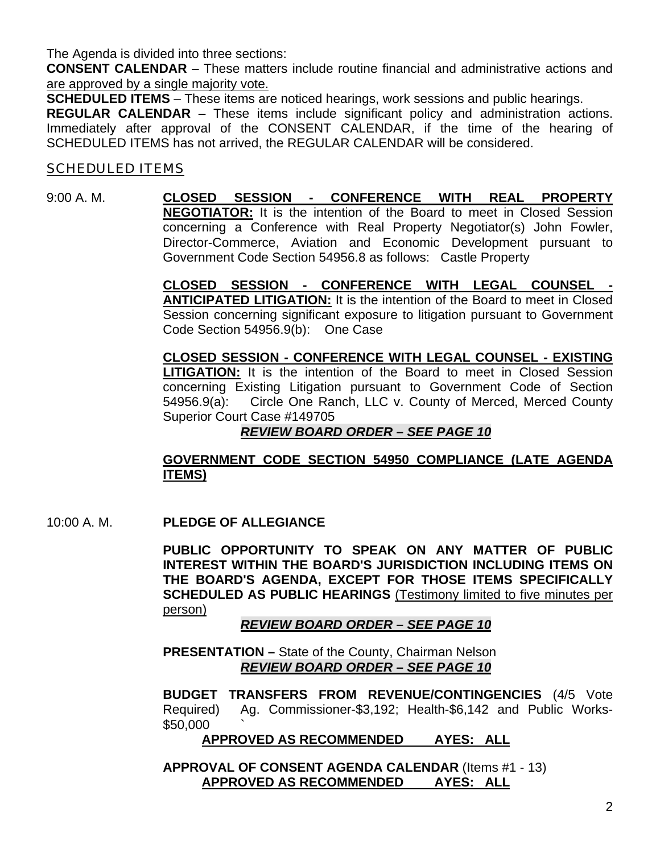The Agenda is divided into three sections:

**CONSENT CALENDAR** – These matters include routine financial and administrative actions and are approved by a single majority vote.

**SCHEDULED ITEMS** – These items are noticed hearings, work sessions and public hearings.

**REGULAR CALENDAR** – These items include significant policy and administration actions. Immediately after approval of the CONSENT CALENDAR, if the time of the hearing of SCHEDULED ITEMS has not arrived, the REGULAR CALENDAR will be considered.

#### SCHEDULED ITEMS

#### 9:00 A. M. **CLOSED SESSION - CONFERENCE WITH REAL PROPERTY NEGOTIATOR:** It is the intention of the Board to meet in Closed Session concerning a Conference with Real Property Negotiator(s) John Fowler, Director-Commerce, Aviation and Economic Development pursuant to Government Code Section 54956.8 as follows: Castle Property

**CLOSED SESSION - CONFERENCE WITH LEGAL COUNSEL - ANTICIPATED LITIGATION:** It is the intention of the Board to meet in Closed Session concerning significant exposure to litigation pursuant to Government Code Section 54956.9(b): One Case

**CLOSED SESSION - CONFERENCE WITH LEGAL COUNSEL - EXISTING LITIGATION:** It is the intention of the Board to meet in Closed Session concerning Existing Litigation pursuant to Government Code of Section 54956.9(a): Circle One Ranch, LLC v. County of Merced, Merced County Superior Court Case #149705

# *REVIEW BOARD ORDER – SEE PAGE 10*

#### **GOVERNMENT CODE SECTION 54950 COMPLIANCE (LATE AGENDA ITEMS)**

10:00 A. M. **PLEDGE OF ALLEGIANCE** 

**PUBLIC OPPORTUNITY TO SPEAK ON ANY MATTER OF PUBLIC INTEREST WITHIN THE BOARD'S JURISDICTION INCLUDING ITEMS ON THE BOARD'S AGENDA, EXCEPT FOR THOSE ITEMS SPECIFICALLY SCHEDULED AS PUBLIC HEARINGS** (Testimony limited to five minutes per person)

*REVIEW BOARD ORDER – SEE PAGE 10*

**PRESENTATION –** State of the County, Chairman Nelson *REVIEW BOARD ORDER – SEE PAGE 10*

**BUDGET TRANSFERS FROM REVENUE/CONTINGENCIES** (4/5 Vote Required) Ag. Commissioner-\$3,192; Health-\$6,142 and Public Works- \$50,000 `

**APPROVED AS RECOMMENDED AYES: ALL**

 **APPROVAL OF CONSENT AGENDA CALENDAR** (Items #1 - 13) **APPROVED AS RECOMMENDED AYES: ALL**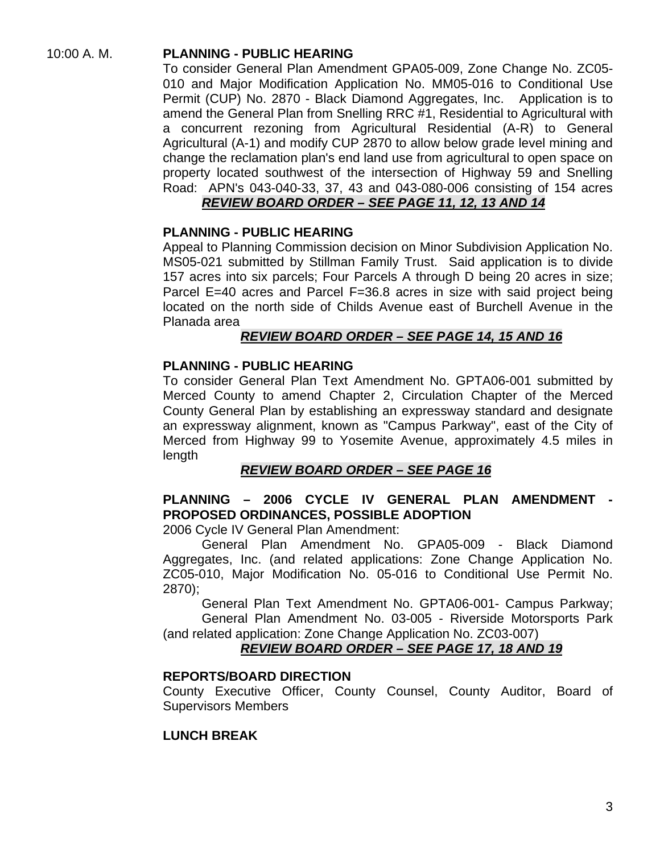# 10:00 A. M. **PLANNING - PUBLIC HEARING**

To consider General Plan Amendment GPA05-009, Zone Change No. ZC05- 010 and Major Modification Application No. MM05-016 to Conditional Use Permit (CUP) No. 2870 - Black Diamond Aggregates, Inc. Application is to amend the General Plan from Snelling RRC #1, Residential to Agricultural with a concurrent rezoning from Agricultural Residential (A-R) to General Agricultural (A-1) and modify CUP 2870 to allow below grade level mining and change the reclamation plan's end land use from agricultural to open space on property located southwest of the intersection of Highway 59 and Snelling Road: APN's 043-040-33, 37, 43 and 043-080-006 consisting of 154 acres

# *REVIEW BOARD ORDER – SEE PAGE 11, 12, 13 AND 14*

#### **PLANNING - PUBLIC HEARING**

Appeal to Planning Commission decision on Minor Subdivision Application No. MS05-021 submitted by Stillman Family Trust. Said application is to divide 157 acres into six parcels; Four Parcels A through D being 20 acres in size; Parcel E=40 acres and Parcel F=36.8 acres in size with said project being located on the north side of Childs Avenue east of Burchell Avenue in the Planada area

#### *REVIEW BOARD ORDER – SEE PAGE 14, 15 AND 16*

#### **PLANNING - PUBLIC HEARING**

To consider General Plan Text Amendment No. GPTA06-001 submitted by Merced County to amend Chapter 2, Circulation Chapter of the Merced County General Plan by establishing an expressway standard and designate an expressway alignment, known as "Campus Parkway", east of the City of Merced from Highway 99 to Yosemite Avenue, approximately 4.5 miles in length

#### *REVIEW BOARD ORDER – SEE PAGE 16*

# **PLANNING – 2006 CYCLE IV GENERAL PLAN AMENDMENT - PROPOSED ORDINANCES, POSSIBLE ADOPTION**

2006 Cycle IV General Plan Amendment:

 General Plan Amendment No. GPA05-009 - Black Diamond Aggregates, Inc. (and related applications: Zone Change Application No. ZC05-010, Major Modification No. 05-016 to Conditional Use Permit No. 2870);

 General Plan Text Amendment No. GPTA06-001- Campus Parkway; General Plan Amendment No. 03-005 - Riverside Motorsports Park (and related application: Zone Change Application No. ZC03-007)

# *REVIEW BOARD ORDER – SEE PAGE 17, 18 AND 19*

#### **REPORTS/BOARD DIRECTION**

County Executive Officer, County Counsel, County Auditor, Board of Supervisors Members

#### **LUNCH BREAK**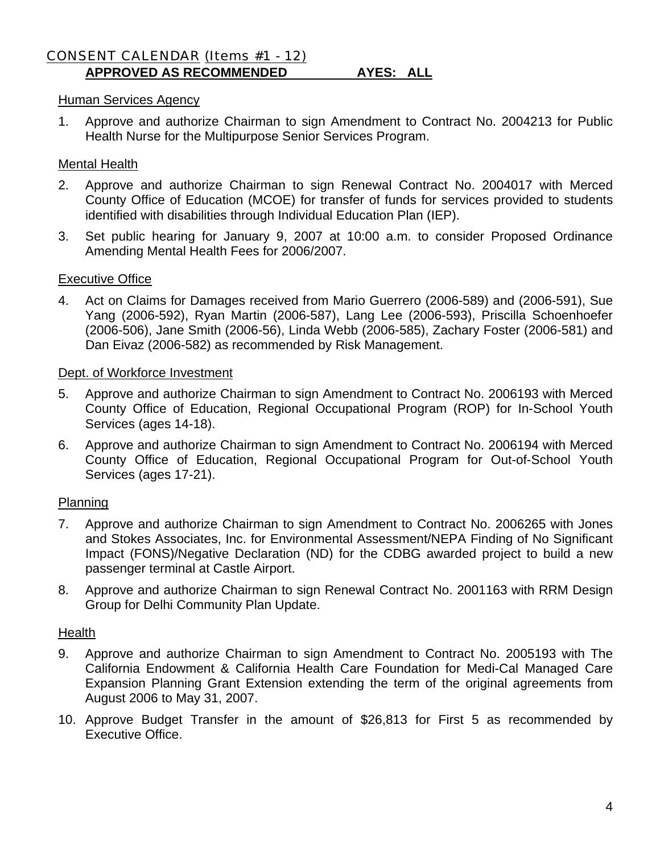#### CONSENT CALENDAR (Items #1 - 12) **APPROVED AS RECOMMENDED AYES: ALL**

# Human Services Agency

1. Approve and authorize Chairman to sign Amendment to Contract No. 2004213 for Public Health Nurse for the Multipurpose Senior Services Program.

#### Mental Health

- 2. Approve and authorize Chairman to sign Renewal Contract No. 2004017 with Merced County Office of Education (MCOE) for transfer of funds for services provided to students identified with disabilities through Individual Education Plan (IEP).
- 3. Set public hearing for January 9, 2007 at 10:00 a.m. to consider Proposed Ordinance Amending Mental Health Fees for 2006/2007.

#### Executive Office

4. Act on Claims for Damages received from Mario Guerrero (2006-589) and (2006-591), Sue Yang (2006-592), Ryan Martin (2006-587), Lang Lee (2006-593), Priscilla Schoenhoefer (2006-506), Jane Smith (2006-56), Linda Webb (2006-585), Zachary Foster (2006-581) and Dan Eivaz (2006-582) as recommended by Risk Management.

#### Dept. of Workforce Investment

- 5. Approve and authorize Chairman to sign Amendment to Contract No. 2006193 with Merced County Office of Education, Regional Occupational Program (ROP) for In-School Youth Services (ages 14-18).
- 6. Approve and authorize Chairman to sign Amendment to Contract No. 2006194 with Merced County Office of Education, Regional Occupational Program for Out-of-School Youth Services (ages 17-21).

#### **Planning**

- 7. Approve and authorize Chairman to sign Amendment to Contract No. 2006265 with Jones and Stokes Associates, Inc. for Environmental Assessment/NEPA Finding of No Significant Impact (FONS)/Negative Declaration (ND) for the CDBG awarded project to build a new passenger terminal at Castle Airport.
- 8. Approve and authorize Chairman to sign Renewal Contract No. 2001163 with RRM Design Group for Delhi Community Plan Update.

#### **Health**

- 9. Approve and authorize Chairman to sign Amendment to Contract No. 2005193 with The California Endowment & California Health Care Foundation for Medi-Cal Managed Care Expansion Planning Grant Extension extending the term of the original agreements from August 2006 to May 31, 2007.
- 10. Approve Budget Transfer in the amount of \$26,813 for First 5 as recommended by Executive Office.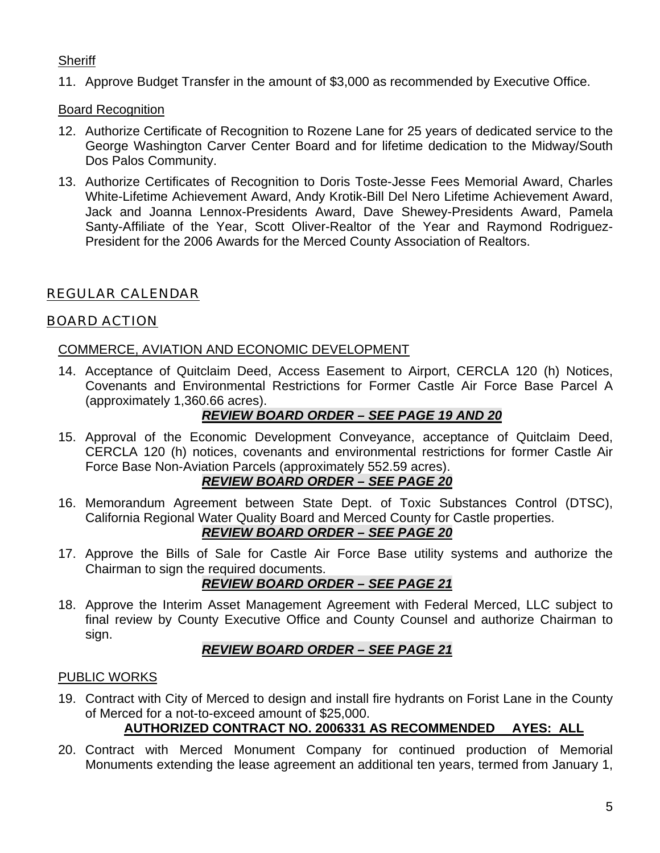# **Sheriff**

11. Approve Budget Transfer in the amount of \$3,000 as recommended by Executive Office.

#### Board Recognition

- 12. Authorize Certificate of Recognition to Rozene Lane for 25 years of dedicated service to the George Washington Carver Center Board and for lifetime dedication to the Midway/South Dos Palos Community.
- 13. Authorize Certificates of Recognition to Doris Toste-Jesse Fees Memorial Award, Charles White-Lifetime Achievement Award, Andy Krotik-Bill Del Nero Lifetime Achievement Award, Jack and Joanna Lennox-Presidents Award, Dave Shewey-Presidents Award, Pamela Santy-Affiliate of the Year, Scott Oliver-Realtor of the Year and Raymond Rodriguez-President for the 2006 Awards for the Merced County Association of Realtors.

# REGULAR CALENDAR

# BOARD ACTION

#### COMMERCE, AVIATION AND ECONOMIC DEVELOPMENT

14. Acceptance of Quitclaim Deed, Access Easement to Airport, CERCLA 120 (h) Notices, Covenants and Environmental Restrictions for Former Castle Air Force Base Parcel A (approximately 1,360.66 acres).

# *REVIEW BOARD ORDER – SEE PAGE 19 AND 20*

15. Approval of the Economic Development Conveyance, acceptance of Quitclaim Deed, CERCLA 120 (h) notices, covenants and environmental restrictions for former Castle Air Force Base Non-Aviation Parcels (approximately 552.59 acres).

# *REVIEW BOARD ORDER – SEE PAGE 20*

16. Memorandum Agreement between State Dept. of Toxic Substances Control (DTSC), California Regional Water Quality Board and Merced County for Castle properties.

# *REVIEW BOARD ORDER – SEE PAGE 20*

17. Approve the Bills of Sale for Castle Air Force Base utility systems and authorize the Chairman to sign the required documents.

# *REVIEW BOARD ORDER – SEE PAGE 21*

18. Approve the Interim Asset Management Agreement with Federal Merced, LLC subject to final review by County Executive Office and County Counsel and authorize Chairman to sign.

# *REVIEW BOARD ORDER – SEE PAGE 21*

#### PUBLIC WORKS

19. Contract with City of Merced to design and install fire hydrants on Forist Lane in the County of Merced for a not-to-exceed amount of \$25,000.

# **AUTHORIZED CONTRACT NO. 2006331 AS RECOMMENDED AYES: ALL**

20. Contract with Merced Monument Company for continued production of Memorial Monuments extending the lease agreement an additional ten years, termed from January 1,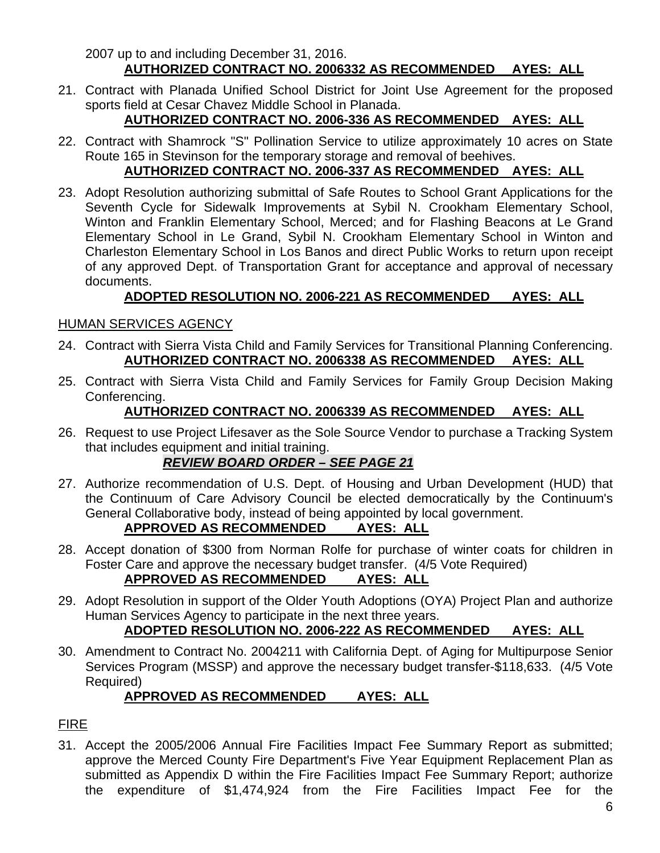2007 up to and including December 31, 2016. **AUTHORIZED CONTRACT NO. 2006332 AS RECOMMENDED AYES: ALL**

21. Contract with Planada Unified School District for Joint Use Agreement for the proposed sports field at Cesar Chavez Middle School in Planada.

# **AUTHORIZED CONTRACT NO. 2006-336 AS RECOMMENDED AYES: ALL**

22. Contract with Shamrock "S" Pollination Service to utilize approximately 10 acres on State Route 165 in Stevinson for the temporary storage and removal of beehives.

# **AUTHORIZED CONTRACT NO. 2006-337 AS RECOMMENDED AYES: ALL**

23. Adopt Resolution authorizing submittal of Safe Routes to School Grant Applications for the Seventh Cycle for Sidewalk Improvements at Sybil N. Crookham Elementary School, Winton and Franklin Elementary School, Merced; and for Flashing Beacons at Le Grand Elementary School in Le Grand, Sybil N. Crookham Elementary School in Winton and Charleston Elementary School in Los Banos and direct Public Works to return upon receipt of any approved Dept. of Transportation Grant for acceptance and approval of necessary documents.

# **ADOPTED RESOLUTION NO. 2006-221 AS RECOMMENDED AYES: ALL**

# HUMAN SERVICES AGENCY

- 24. Contract with Sierra Vista Child and Family Services for Transitional Planning Conferencing. **AUTHORIZED CONTRACT NO. 2006338 AS RECOMMENDED AYES: ALL**
- 25. Contract with Sierra Vista Child and Family Services for Family Group Decision Making Conferencing.

# **AUTHORIZED CONTRACT NO. 2006339 AS RECOMMENDED AYES: ALL**

26. Request to use Project Lifesaver as the Sole Source Vendor to purchase a Tracking System that includes equipment and initial training.

# *REVIEW BOARD ORDER – SEE PAGE 21*

27. Authorize recommendation of U.S. Dept. of Housing and Urban Development (HUD) that the Continuum of Care Advisory Council be elected democratically by the Continuum's General Collaborative body, instead of being appointed by local government.

# **APPROVED AS RECOMMENDED AYES: ALL**

28. Accept donation of \$300 from Norman Rolfe for purchase of winter coats for children in Foster Care and approve the necessary budget transfer. (4/5 Vote Required)

# **APPROVED AS RECOMMENDED AYES: ALL**

29. Adopt Resolution in support of the Older Youth Adoptions (OYA) Project Plan and authorize Human Services Agency to participate in the next three years.

# **ADOPTED RESOLUTION NO. 2006-222 AS RECOMMENDED AYES: ALL**

30. Amendment to Contract No. 2004211 with California Dept. of Aging for Multipurpose Senior Services Program (MSSP) and approve the necessary budget transfer-\$118,633. (4/5 Vote Required)

# **APPROVED AS RECOMMENDED AYES: ALL**

# FIRE

31. Accept the 2005/2006 Annual Fire Facilities Impact Fee Summary Report as submitted; approve the Merced County Fire Department's Five Year Equipment Replacement Plan as submitted as Appendix D within the Fire Facilities Impact Fee Summary Report; authorize the expenditure of \$1,474,924 from the Fire Facilities Impact Fee for the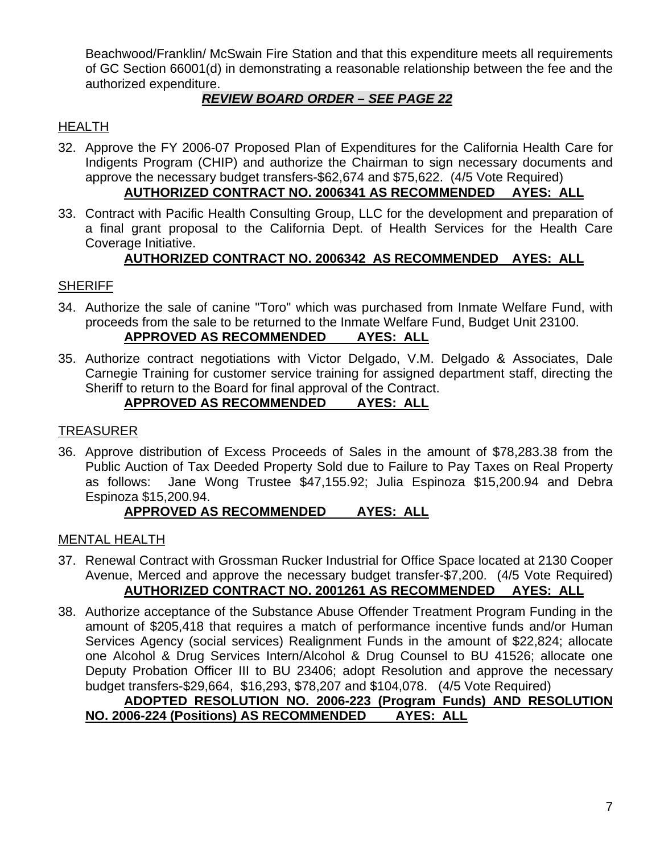Beachwood/Franklin/ McSwain Fire Station and that this expenditure meets all requirements of GC Section 66001(d) in demonstrating a reasonable relationship between the fee and the authorized expenditure.

# *REVIEW BOARD ORDER – SEE PAGE 22*

# HEALTH

32. Approve the FY 2006-07 Proposed Plan of Expenditures for the California Health Care for Indigents Program (CHIP) and authorize the Chairman to sign necessary documents and approve the necessary budget transfers-\$62,674 and \$75,622. (4/5 Vote Required)

# **AUTHORIZED CONTRACT NO. 2006341 AS RECOMMENDED AYES: ALL**

33. Contract with Pacific Health Consulting Group, LLC for the development and preparation of a final grant proposal to the California Dept. of Health Services for the Health Care Coverage Initiative.

# **AUTHORIZED CONTRACT NO. 2006342 AS RECOMMENDED AYES: ALL**

# **SHERIFF**

- 34. Authorize the sale of canine "Toro" which was purchased from Inmate Welfare Fund, with proceeds from the sale to be returned to the Inmate Welfare Fund, Budget Unit 23100. **APPROVED AS RECOMMENDED AYES: ALL**
- 35. Authorize contract negotiations with Victor Delgado, V.M. Delgado & Associates, Dale Carnegie Training for customer service training for assigned department staff, directing the Sheriff to return to the Board for final approval of the Contract.

# **APPROVED AS RECOMMENDED AYES: ALL**

#### TREASURER

36. Approve distribution of Excess Proceeds of Sales in the amount of \$78,283.38 from the Public Auction of Tax Deeded Property Sold due to Failure to Pay Taxes on Real Property as follows: Jane Wong Trustee \$47,155.92; Julia Espinoza \$15,200.94 and Debra Espinoza \$15,200.94.

# **APPROVED AS RECOMMENDED AYES: ALL**

#### MENTAL HEALTH

- 37. Renewal Contract with Grossman Rucker Industrial for Office Space located at 2130 Cooper Avenue, Merced and approve the necessary budget transfer-\$7,200. (4/5 Vote Required) **AUTHORIZED CONTRACT NO. 2001261 AS RECOMMENDED AYES: ALL**
- 38. Authorize acceptance of the Substance Abuse Offender Treatment Program Funding in the amount of \$205,418 that requires a match of performance incentive funds and/or Human Services Agency (social services) Realignment Funds in the amount of \$22,824; allocate one Alcohol & Drug Services Intern/Alcohol & Drug Counsel to BU 41526; allocate one Deputy Probation Officer III to BU 23406; adopt Resolution and approve the necessary budget transfers-\$29,664, \$16,293, \$78,207 and \$104,078. (4/5 Vote Required)

#### **ADOPTED RESOLUTION NO. 2006-223 (Program Funds) AND RESOLUTION NO. 2006-224 (Positions) AS RECOMMENDED AYES: ALL**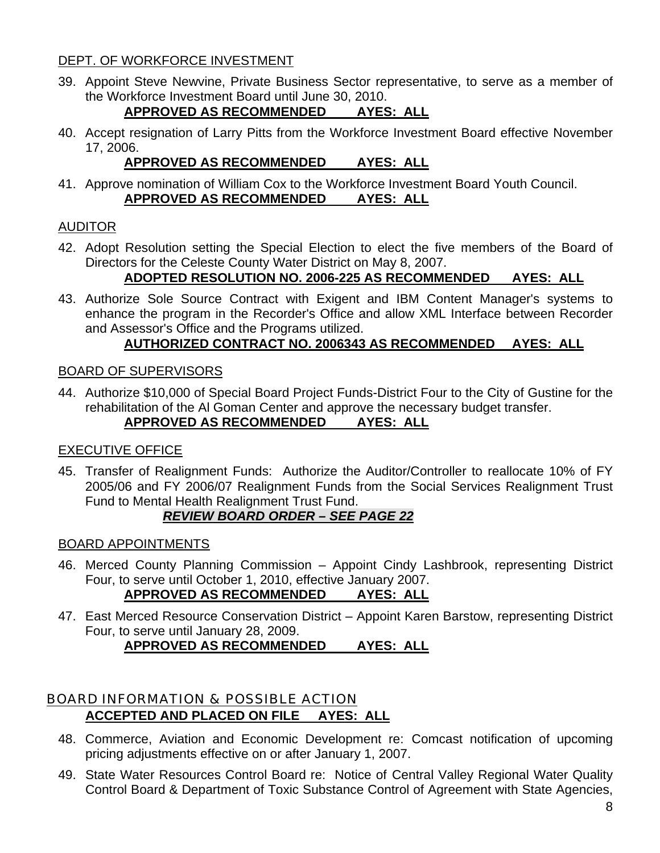# DEPT. OF WORKFORCE INVESTMENT

39. Appoint Steve Newvine, Private Business Sector representative, to serve as a member of the Workforce Investment Board until June 30, 2010.

# **APPROVED AS RECOMMENDED AYES: ALL**

40. Accept resignation of Larry Pitts from the Workforce Investment Board effective November 17, 2006.

# **APPROVED AS RECOMMENDED AYES: ALL**

41. Approve nomination of William Cox to the Workforce Investment Board Youth Council. **APPROVED AS RECOMMENDED AYES: ALL**

# AUDITOR

42. Adopt Resolution setting the Special Election to elect the five members of the Board of Directors for the Celeste County Water District on May 8, 2007.

# **ADOPTED RESOLUTION NO. 2006-225 AS RECOMMENDED AYES: ALL**

43. Authorize Sole Source Contract with Exigent and IBM Content Manager's systems to enhance the program in the Recorder's Office and allow XML Interface between Recorder and Assessor's Office and the Programs utilized.

# **AUTHORIZED CONTRACT NO. 2006343 AS RECOMMENDED AYES: ALL**

#### BOARD OF SUPERVISORS

44. Authorize \$10,000 of Special Board Project Funds-District Four to the City of Gustine for the rehabilitation of the Al Goman Center and approve the necessary budget transfer. **APPROVED AS RECOMMENDED AYES: ALL**

#### EXECUTIVE OFFICE

45. Transfer of Realignment Funds: Authorize the Auditor/Controller to reallocate 10% of FY 2005/06 and FY 2006/07 Realignment Funds from the Social Services Realignment Trust Fund to Mental Health Realignment Trust Fund.

# *REVIEW BOARD ORDER – SEE PAGE 22*

#### BOARD APPOINTMENTS

46. Merced County Planning Commission – Appoint Cindy Lashbrook, representing District Four, to serve until October 1, 2010, effective January 2007.

# **APPROVED AS RECOMMENDED AYES: ALL**

47. East Merced Resource Conservation District – Appoint Karen Barstow, representing District Four, to serve until January 28, 2009. **APPROVED AS RECOMMENDED AYES: ALL**

# BOARD INFORMATION & POSSIBLE ACTION **ACCEPTED AND PLACED ON FILE AYES: ALL**

- 48. Commerce, Aviation and Economic Development re: Comcast notification of upcoming pricing adjustments effective on or after January 1, 2007.
- 49. State Water Resources Control Board re: Notice of Central Valley Regional Water Quality Control Board & Department of Toxic Substance Control of Agreement with State Agencies,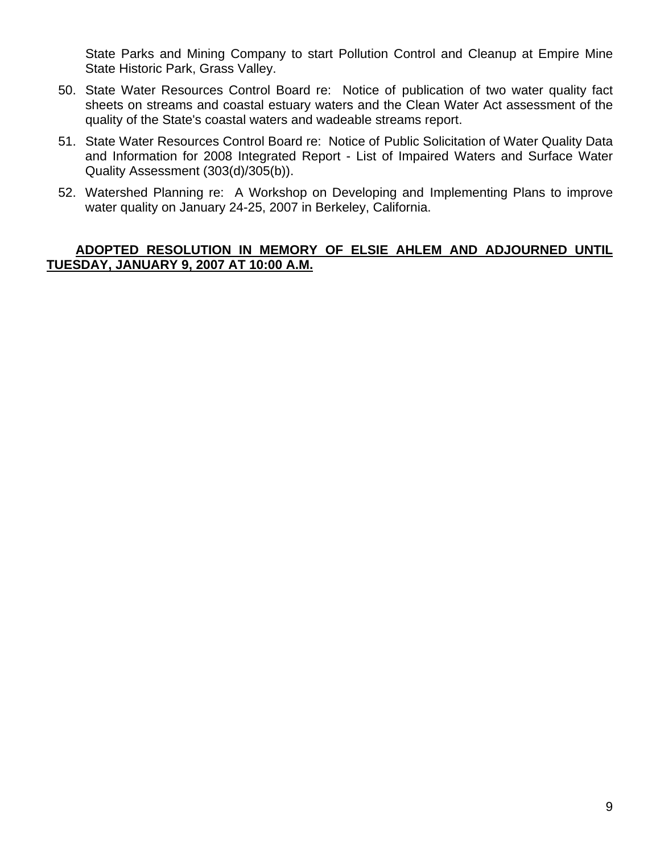State Parks and Mining Company to start Pollution Control and Cleanup at Empire Mine State Historic Park, Grass Valley.

- 50. State Water Resources Control Board re: Notice of publication of two water quality fact sheets on streams and coastal estuary waters and the Clean Water Act assessment of the quality of the State's coastal waters and wadeable streams report.
- 51. State Water Resources Control Board re: Notice of Public Solicitation of Water Quality Data and Information for 2008 Integrated Report - List of Impaired Waters and Surface Water Quality Assessment (303(d)/305(b)).
- 52. Watershed Planning re: A Workshop on Developing and Implementing Plans to improve water quality on January 24-25, 2007 in Berkeley, California.

# **ADOPTED RESOLUTION IN MEMORY OF ELSIE AHLEM AND ADJOURNED UNTIL TUESDAY, JANUARY 9, 2007 AT 10:00 A.M.**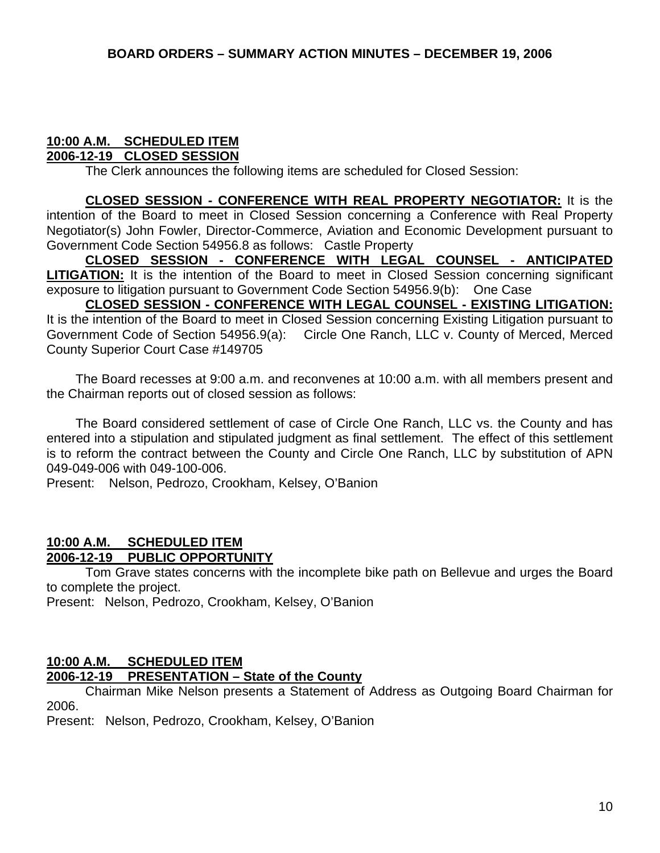#### **10:00 A.M. SCHEDULED ITEM 2006-12-19 CLOSED SESSION**

The Clerk announces the following items are scheduled for Closed Session:

**CLOSED SESSION - CONFERENCE WITH REAL PROPERTY NEGOTIATOR:** It is the intention of the Board to meet in Closed Session concerning a Conference with Real Property Negotiator(s) John Fowler, Director-Commerce, Aviation and Economic Development pursuant to Government Code Section 54956.8 as follows: Castle Property

**CLOSED SESSION - CONFERENCE WITH LEGAL COUNSEL - ANTICIPATED LITIGATION:** It is the intention of the Board to meet in Closed Session concerning significant exposure to litigation pursuant to Government Code Section 54956.9(b): One Case

 **CLOSED SESSION - CONFERENCE WITH LEGAL COUNSEL - EXISTING LITIGATION:** It is the intention of the Board to meet in Closed Session concerning Existing Litigation pursuant to Government Code of Section 54956.9(a): Circle One Ranch, LLC v. County of Merced, Merced County Superior Court Case #149705

 The Board recesses at 9:00 a.m. and reconvenes at 10:00 a.m. with all members present and the Chairman reports out of closed session as follows:

 The Board considered settlement of case of Circle One Ranch, LLC vs. the County and has entered into a stipulation and stipulated judgment as final settlement. The effect of this settlement is to reform the contract between the County and Circle One Ranch, LLC by substitution of APN 049-049-006 with 049-100-006.

Present: Nelson, Pedrozo, Crookham, Kelsey, O'Banion

#### **10:00 A.M. SCHEDULED ITEM 2006-12-19 PUBLIC OPPORTUNITY**

 Tom Grave states concerns with the incomplete bike path on Bellevue and urges the Board to complete the project.

Present: Nelson, Pedrozo, Crookham, Kelsey, O'Banion

#### **10:00 A.M. SCHEDULED ITEM**

#### **2006-12-19 PRESENTATION – State of the County**

 Chairman Mike Nelson presents a Statement of Address as Outgoing Board Chairman for 2006.

Present: Nelson, Pedrozo, Crookham, Kelsey, O'Banion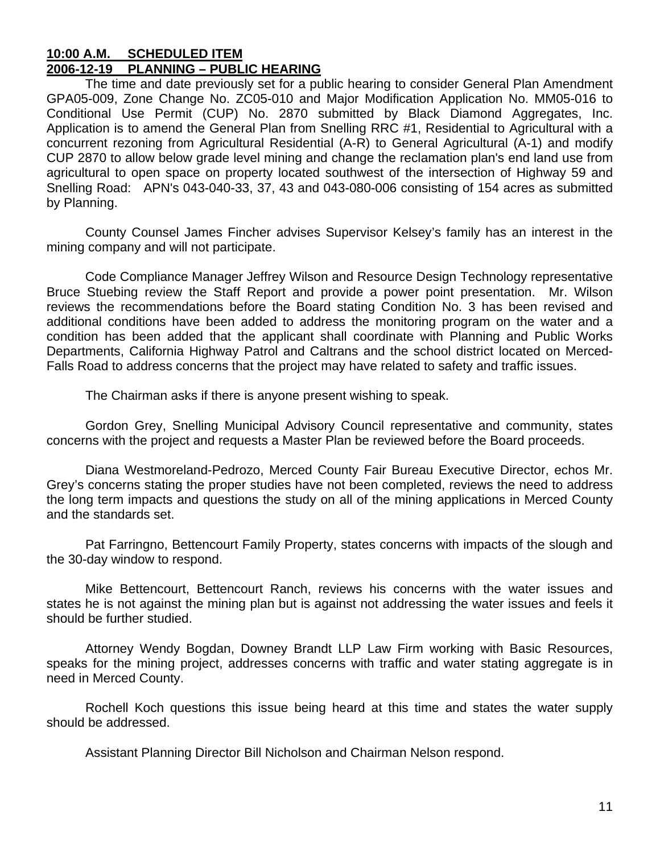#### **10:00 A.M. SCHEDULED ITEM 2006-12-19 PLANNING – PUBLIC HEARING**

 The time and date previously set for a public hearing to consider General Plan Amendment GPA05-009, Zone Change No. ZC05-010 and Major Modification Application No. MM05-016 to Conditional Use Permit (CUP) No. 2870 submitted by Black Diamond Aggregates, Inc. Application is to amend the General Plan from Snelling RRC #1, Residential to Agricultural with a concurrent rezoning from Agricultural Residential (A-R) to General Agricultural (A-1) and modify CUP 2870 to allow below grade level mining and change the reclamation plan's end land use from agricultural to open space on property located southwest of the intersection of Highway 59 and Snelling Road: APN's 043-040-33, 37, 43 and 043-080-006 consisting of 154 acres as submitted by Planning.

 County Counsel James Fincher advises Supervisor Kelsey's family has an interest in the mining company and will not participate.

 Code Compliance Manager Jeffrey Wilson and Resource Design Technology representative Bruce Stuebing review the Staff Report and provide a power point presentation. Mr. Wilson reviews the recommendations before the Board stating Condition No. 3 has been revised and additional conditions have been added to address the monitoring program on the water and a condition has been added that the applicant shall coordinate with Planning and Public Works Departments, California Highway Patrol and Caltrans and the school district located on Merced-Falls Road to address concerns that the project may have related to safety and traffic issues.

The Chairman asks if there is anyone present wishing to speak.

 Gordon Grey, Snelling Municipal Advisory Council representative and community, states concerns with the project and requests a Master Plan be reviewed before the Board proceeds.

 Diana Westmoreland-Pedrozo, Merced County Fair Bureau Executive Director, echos Mr. Grey's concerns stating the proper studies have not been completed, reviews the need to address the long term impacts and questions the study on all of the mining applications in Merced County and the standards set.

 Pat Farringno, Bettencourt Family Property, states concerns with impacts of the slough and the 30-day window to respond.

 Mike Bettencourt, Bettencourt Ranch, reviews his concerns with the water issues and states he is not against the mining plan but is against not addressing the water issues and feels it should be further studied.

 Attorney Wendy Bogdan, Downey Brandt LLP Law Firm working with Basic Resources, speaks for the mining project, addresses concerns with traffic and water stating aggregate is in need in Merced County.

 Rochell Koch questions this issue being heard at this time and states the water supply should be addressed.

Assistant Planning Director Bill Nicholson and Chairman Nelson respond.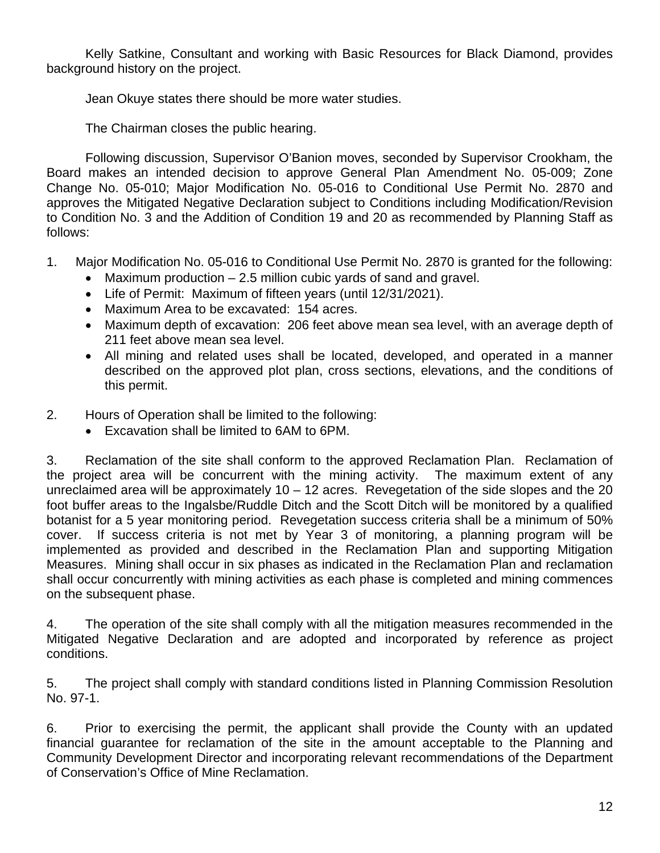Kelly Satkine, Consultant and working with Basic Resources for Black Diamond, provides background history on the project.

Jean Okuye states there should be more water studies.

The Chairman closes the public hearing.

 Following discussion, Supervisor O'Banion moves, seconded by Supervisor Crookham, the Board makes an intended decision to approve General Plan Amendment No. 05-009; Zone Change No. 05-010; Major Modification No. 05-016 to Conditional Use Permit No. 2870 and approves the Mitigated Negative Declaration subject to Conditions including Modification/Revision to Condition No. 3 and the Addition of Condition 19 and 20 as recommended by Planning Staff as follows:

- 1. Major Modification No. 05-016 to Conditional Use Permit No. 2870 is granted for the following:
	- Maximum production 2.5 million cubic yards of sand and gravel.
	- Life of Permit: Maximum of fifteen years (until 12/31/2021).
	- Maximum Area to be excavated: 154 acres.
	- Maximum depth of excavation: 206 feet above mean sea level, with an average depth of 211 feet above mean sea level.
	- All mining and related uses shall be located, developed, and operated in a manner described on the approved plot plan, cross sections, elevations, and the conditions of this permit.
- 2. Hours of Operation shall be limited to the following:
	- Excavation shall be limited to 6AM to 6PM.

3. Reclamation of the site shall conform to the approved Reclamation Plan. Reclamation of the project area will be concurrent with the mining activity. The maximum extent of any unreclaimed area will be approximately  $10 - 12$  acres. Revegetation of the side slopes and the 20 foot buffer areas to the Ingalsbe/Ruddle Ditch and the Scott Ditch will be monitored by a qualified botanist for a 5 year monitoring period. Revegetation success criteria shall be a minimum of 50% cover. If success criteria is not met by Year 3 of monitoring, a planning program will be implemented as provided and described in the Reclamation Plan and supporting Mitigation Measures. Mining shall occur in six phases as indicated in the Reclamation Plan and reclamation shall occur concurrently with mining activities as each phase is completed and mining commences on the subsequent phase.

4. The operation of the site shall comply with all the mitigation measures recommended in the Mitigated Negative Declaration and are adopted and incorporated by reference as project conditions.

5. The project shall comply with standard conditions listed in Planning Commission Resolution No. 97-1.

6. Prior to exercising the permit, the applicant shall provide the County with an updated financial guarantee for reclamation of the site in the amount acceptable to the Planning and Community Development Director and incorporating relevant recommendations of the Department of Conservation's Office of Mine Reclamation.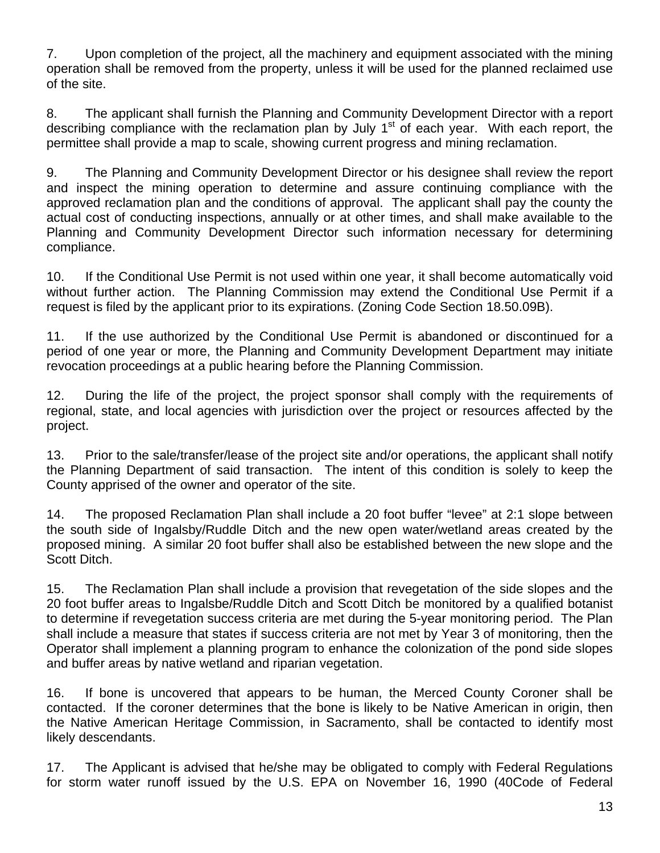7. Upon completion of the project, all the machinery and equipment associated with the mining operation shall be removed from the property, unless it will be used for the planned reclaimed use of the site.

8. The applicant shall furnish the Planning and Community Development Director with a report describing compliance with the reclamation plan by July  $1<sup>st</sup>$  of each year. With each report, the permittee shall provide a map to scale, showing current progress and mining reclamation.

9. The Planning and Community Development Director or his designee shall review the report and inspect the mining operation to determine and assure continuing compliance with the approved reclamation plan and the conditions of approval. The applicant shall pay the county the actual cost of conducting inspections, annually or at other times, and shall make available to the Planning and Community Development Director such information necessary for determining compliance.

10. If the Conditional Use Permit is not used within one year, it shall become automatically void without further action. The Planning Commission may extend the Conditional Use Permit if a request is filed by the applicant prior to its expirations. (Zoning Code Section 18.50.09B).

11. If the use authorized by the Conditional Use Permit is abandoned or discontinued for a period of one year or more, the Planning and Community Development Department may initiate revocation proceedings at a public hearing before the Planning Commission.

12. During the life of the project, the project sponsor shall comply with the requirements of regional, state, and local agencies with jurisdiction over the project or resources affected by the project.

13. Prior to the sale/transfer/lease of the project site and/or operations, the applicant shall notify the Planning Department of said transaction. The intent of this condition is solely to keep the County apprised of the owner and operator of the site.

14. The proposed Reclamation Plan shall include a 20 foot buffer "levee" at 2:1 slope between the south side of Ingalsby/Ruddle Ditch and the new open water/wetland areas created by the proposed mining. A similar 20 foot buffer shall also be established between the new slope and the Scott Ditch.

15. The Reclamation Plan shall include a provision that revegetation of the side slopes and the 20 foot buffer areas to Ingalsbe/Ruddle Ditch and Scott Ditch be monitored by a qualified botanist to determine if revegetation success criteria are met during the 5-year monitoring period. The Plan shall include a measure that states if success criteria are not met by Year 3 of monitoring, then the Operator shall implement a planning program to enhance the colonization of the pond side slopes and buffer areas by native wetland and riparian vegetation.

16. If bone is uncovered that appears to be human, the Merced County Coroner shall be contacted. If the coroner determines that the bone is likely to be Native American in origin, then the Native American Heritage Commission, in Sacramento, shall be contacted to identify most likely descendants.

17. The Applicant is advised that he/she may be obligated to comply with Federal Regulations for storm water runoff issued by the U.S. EPA on November 16, 1990 (40Code of Federal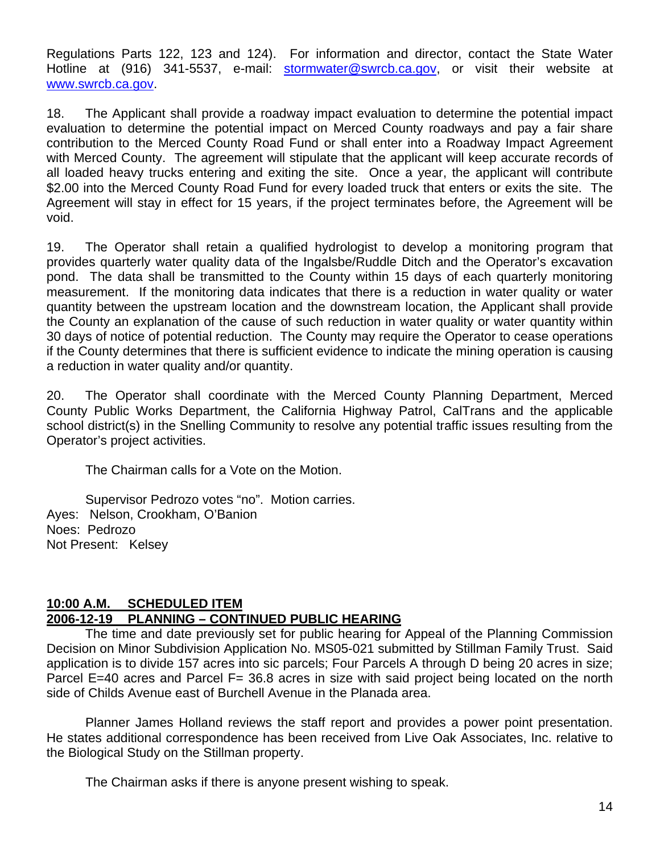Regulations Parts 122, 123 and 124). For information and director, contact the State Water Hotline at (916) 341-5537, e-mail: [stormwater@swrcb.ca.gov](mailto:stormwater@swrcb.ca.gov), or visit their website at [www.swrcb.ca.gov.](http://www.swrcb.ca.gov/)

18. The Applicant shall provide a roadway impact evaluation to determine the potential impact evaluation to determine the potential impact on Merced County roadways and pay a fair share contribution to the Merced County Road Fund or shall enter into a Roadway Impact Agreement with Merced County. The agreement will stipulate that the applicant will keep accurate records of all loaded heavy trucks entering and exiting the site. Once a year, the applicant will contribute \$2.00 into the Merced County Road Fund for every loaded truck that enters or exits the site. The Agreement will stay in effect for 15 years, if the project terminates before, the Agreement will be void.

19. The Operator shall retain a qualified hydrologist to develop a monitoring program that provides quarterly water quality data of the Ingalsbe/Ruddle Ditch and the Operator's excavation pond. The data shall be transmitted to the County within 15 days of each quarterly monitoring measurement. If the monitoring data indicates that there is a reduction in water quality or water quantity between the upstream location and the downstream location, the Applicant shall provide the County an explanation of the cause of such reduction in water quality or water quantity within 30 days of notice of potential reduction. The County may require the Operator to cease operations if the County determines that there is sufficient evidence to indicate the mining operation is causing a reduction in water quality and/or quantity.

20. The Operator shall coordinate with the Merced County Planning Department, Merced County Public Works Department, the California Highway Patrol, CalTrans and the applicable school district(s) in the Snelling Community to resolve any potential traffic issues resulting from the Operator's project activities.

The Chairman calls for a Vote on the Motion.

Supervisor Pedrozo votes "no". Motion carries. Ayes: Nelson, Crookham, O'Banion Noes: Pedrozo Not Present: Kelsey

# **10:00 A.M. SCHEDULED ITEM**

# **2006-12-19 PLANNING – CONTINUED PUBLIC HEARING**

 The time and date previously set for public hearing for Appeal of the Planning Commission Decision on Minor Subdivision Application No. MS05-021 submitted by Stillman Family Trust. Said application is to divide 157 acres into sic parcels; Four Parcels A through D being 20 acres in size; Parcel E=40 acres and Parcel F= 36.8 acres in size with said project being located on the north side of Childs Avenue east of Burchell Avenue in the Planada area.

 Planner James Holland reviews the staff report and provides a power point presentation. He states additional correspondence has been received from Live Oak Associates, Inc. relative to the Biological Study on the Stillman property.

The Chairman asks if there is anyone present wishing to speak.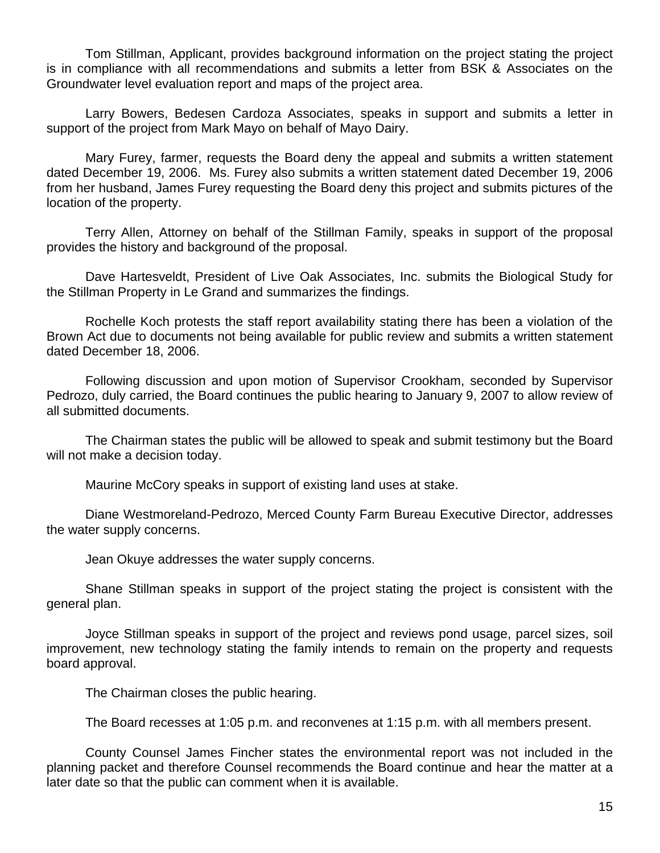Tom Stillman, Applicant, provides background information on the project stating the project is in compliance with all recommendations and submits a letter from BSK & Associates on the Groundwater level evaluation report and maps of the project area.

 Larry Bowers, Bedesen Cardoza Associates, speaks in support and submits a letter in support of the project from Mark Mayo on behalf of Mayo Dairy.

 Mary Furey, farmer, requests the Board deny the appeal and submits a written statement dated December 19, 2006. Ms. Furey also submits a written statement dated December 19, 2006 from her husband, James Furey requesting the Board deny this project and submits pictures of the location of the property.

 Terry Allen, Attorney on behalf of the Stillman Family, speaks in support of the proposal provides the history and background of the proposal.

 Dave Hartesveldt, President of Live Oak Associates, Inc. submits the Biological Study for the Stillman Property in Le Grand and summarizes the findings.

 Rochelle Koch protests the staff report availability stating there has been a violation of the Brown Act due to documents not being available for public review and submits a written statement dated December 18, 2006.

 Following discussion and upon motion of Supervisor Crookham, seconded by Supervisor Pedrozo, duly carried, the Board continues the public hearing to January 9, 2007 to allow review of all submitted documents.

 The Chairman states the public will be allowed to speak and submit testimony but the Board will not make a decision today.

Maurine McCory speaks in support of existing land uses at stake.

 Diane Westmoreland-Pedrozo, Merced County Farm Bureau Executive Director, addresses the water supply concerns.

Jean Okuye addresses the water supply concerns.

 Shane Stillman speaks in support of the project stating the project is consistent with the general plan.

 Joyce Stillman speaks in support of the project and reviews pond usage, parcel sizes, soil improvement, new technology stating the family intends to remain on the property and requests board approval.

The Chairman closes the public hearing.

The Board recesses at 1:05 p.m. and reconvenes at 1:15 p.m. with all members present.

 County Counsel James Fincher states the environmental report was not included in the planning packet and therefore Counsel recommends the Board continue and hear the matter at a later date so that the public can comment when it is available.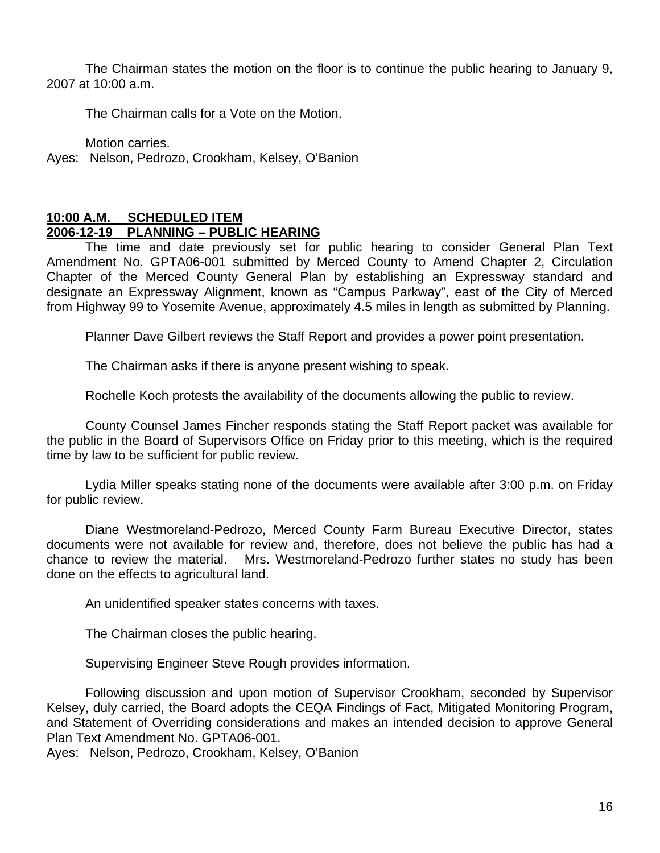The Chairman states the motion on the floor is to continue the public hearing to January 9, 2007 at 10:00 a.m.

The Chairman calls for a Vote on the Motion.

Motion carries.

Ayes: Nelson, Pedrozo, Crookham, Kelsey, O'Banion

#### **10:00 A.M. SCHEDULED ITEM 2006-12-19 PLANNING – PUBLIC HEARING**

 The time and date previously set for public hearing to consider General Plan Text Amendment No. GPTA06-001 submitted by Merced County to Amend Chapter 2, Circulation Chapter of the Merced County General Plan by establishing an Expressway standard and designate an Expressway Alignment, known as "Campus Parkway", east of the City of Merced from Highway 99 to Yosemite Avenue, approximately 4.5 miles in length as submitted by Planning.

Planner Dave Gilbert reviews the Staff Report and provides a power point presentation.

The Chairman asks if there is anyone present wishing to speak.

Rochelle Koch protests the availability of the documents allowing the public to review.

 County Counsel James Fincher responds stating the Staff Report packet was available for the public in the Board of Supervisors Office on Friday prior to this meeting, which is the required time by law to be sufficient for public review.

 Lydia Miller speaks stating none of the documents were available after 3:00 p.m. on Friday for public review.

 Diane Westmoreland-Pedrozo, Merced County Farm Bureau Executive Director, states documents were not available for review and, therefore, does not believe the public has had a chance to review the material. Mrs. Westmoreland-Pedrozo further states no study has been done on the effects to agricultural land.

An unidentified speaker states concerns with taxes.

The Chairman closes the public hearing.

Supervising Engineer Steve Rough provides information.

 Following discussion and upon motion of Supervisor Crookham, seconded by Supervisor Kelsey, duly carried, the Board adopts the CEQA Findings of Fact, Mitigated Monitoring Program, and Statement of Overriding considerations and makes an intended decision to approve General Plan Text Amendment No. GPTA06-001.

Ayes: Nelson, Pedrozo, Crookham, Kelsey, O'Banion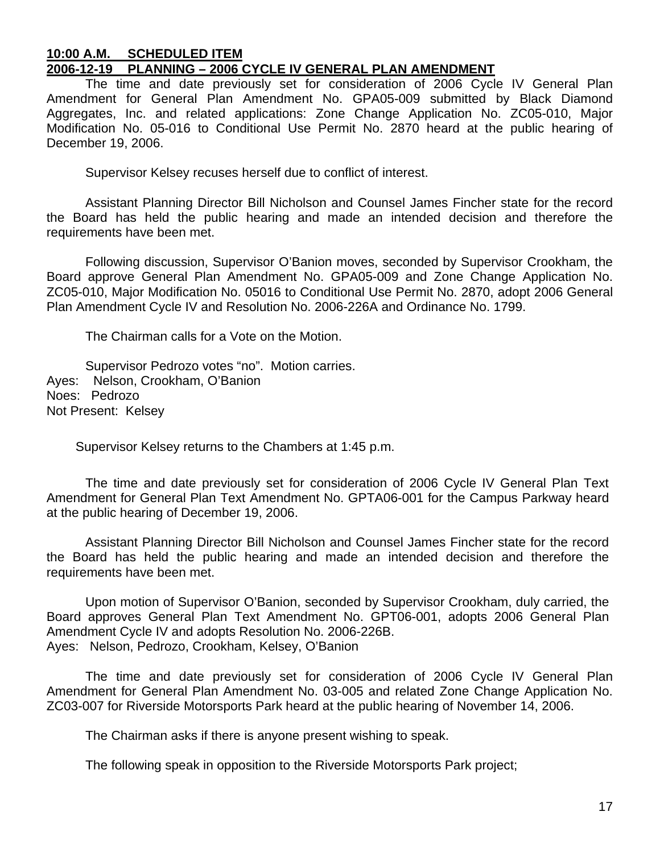#### **10:00 A.M. SCHEDULED ITEM 2006-12-19 PLANNING – 2006 CYCLE IV GENERAL PLAN AMENDMENT**

 The time and date previously set for consideration of 2006 Cycle IV General Plan Amendment for General Plan Amendment No. GPA05-009 submitted by Black Diamond Aggregates, Inc. and related applications: Zone Change Application No. ZC05-010, Major Modification No. 05-016 to Conditional Use Permit No. 2870 heard at the public hearing of December 19, 2006.

Supervisor Kelsey recuses herself due to conflict of interest.

 Assistant Planning Director Bill Nicholson and Counsel James Fincher state for the record the Board has held the public hearing and made an intended decision and therefore the requirements have been met.

 Following discussion, Supervisor O'Banion moves, seconded by Supervisor Crookham, the Board approve General Plan Amendment No. GPA05-009 and Zone Change Application No. ZC05-010, Major Modification No. 05016 to Conditional Use Permit No. 2870, adopt 2006 General Plan Amendment Cycle IV and Resolution No. 2006-226A and Ordinance No. 1799.

The Chairman calls for a Vote on the Motion.

 Supervisor Pedrozo votes "no". Motion carries. Ayes: Nelson, Crookham, O'Banion Noes: Pedrozo Not Present: Kelsey

Supervisor Kelsey returns to the Chambers at 1:45 p.m.

 The time and date previously set for consideration of 2006 Cycle IV General Plan Text Amendment for General Plan Text Amendment No. GPTA06-001 for the Campus Parkway heard at the public hearing of December 19, 2006.

Assistant Planning Director Bill Nicholson and Counsel James Fincher state for the record the Board has held the public hearing and made an intended decision and therefore the requirements have been met.

 Upon motion of Supervisor O'Banion, seconded by Supervisor Crookham, duly carried, the Board approves General Plan Text Amendment No. GPT06-001, adopts 2006 General Plan Amendment Cycle IV and adopts Resolution No. 2006-226B. Ayes: Nelson, Pedrozo, Crookham, Kelsey, O'Banion

 The time and date previously set for consideration of 2006 Cycle IV General Plan Amendment for General Plan Amendment No. 03-005 and related Zone Change Application No. ZC03-007 for Riverside Motorsports Park heard at the public hearing of November 14, 2006.

The Chairman asks if there is anyone present wishing to speak.

The following speak in opposition to the Riverside Motorsports Park project;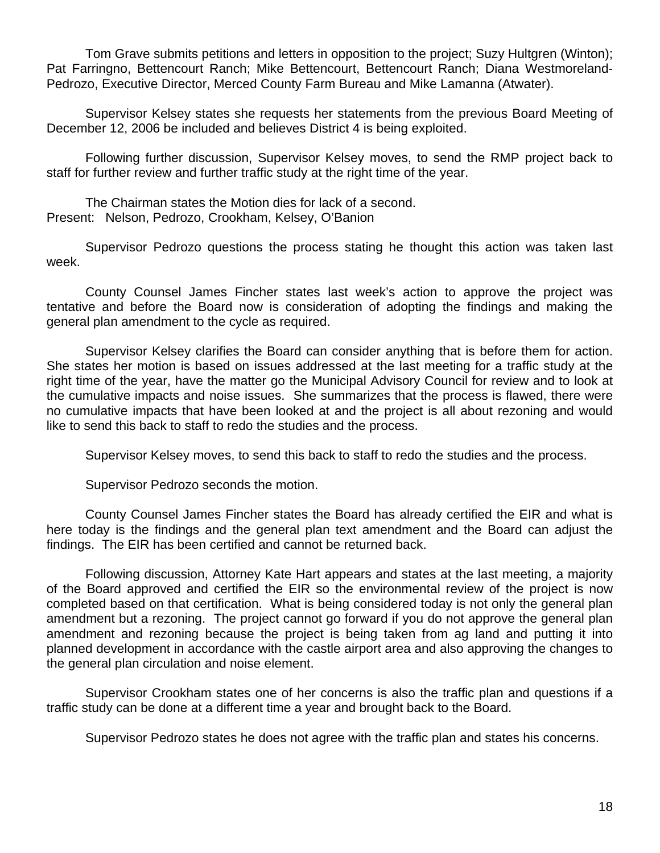Tom Grave submits petitions and letters in opposition to the project; Suzy Hultgren (Winton); Pat Farringno, Bettencourt Ranch; Mike Bettencourt, Bettencourt Ranch; Diana Westmoreland-Pedrozo, Executive Director, Merced County Farm Bureau and Mike Lamanna (Atwater).

 Supervisor Kelsey states she requests her statements from the previous Board Meeting of December 12, 2006 be included and believes District 4 is being exploited.

 Following further discussion, Supervisor Kelsey moves, to send the RMP project back to staff for further review and further traffic study at the right time of the year.

 The Chairman states the Motion dies for lack of a second. Present: Nelson, Pedrozo, Crookham, Kelsey, O'Banion

 Supervisor Pedrozo questions the process stating he thought this action was taken last week.

 County Counsel James Fincher states last week's action to approve the project was tentative and before the Board now is consideration of adopting the findings and making the general plan amendment to the cycle as required.

 Supervisor Kelsey clarifies the Board can consider anything that is before them for action. She states her motion is based on issues addressed at the last meeting for a traffic study at the right time of the year, have the matter go the Municipal Advisory Council for review and to look at the cumulative impacts and noise issues. She summarizes that the process is flawed, there were no cumulative impacts that have been looked at and the project is all about rezoning and would like to send this back to staff to redo the studies and the process.

Supervisor Kelsey moves, to send this back to staff to redo the studies and the process.

Supervisor Pedrozo seconds the motion.

 County Counsel James Fincher states the Board has already certified the EIR and what is here today is the findings and the general plan text amendment and the Board can adjust the findings. The EIR has been certified and cannot be returned back.

 Following discussion, Attorney Kate Hart appears and states at the last meeting, a majority of the Board approved and certified the EIR so the environmental review of the project is now completed based on that certification. What is being considered today is not only the general plan amendment but a rezoning. The project cannot go forward if you do not approve the general plan amendment and rezoning because the project is being taken from ag land and putting it into planned development in accordance with the castle airport area and also approving the changes to the general plan circulation and noise element.

 Supervisor Crookham states one of her concerns is also the traffic plan and questions if a traffic study can be done at a different time a year and brought back to the Board.

Supervisor Pedrozo states he does not agree with the traffic plan and states his concerns.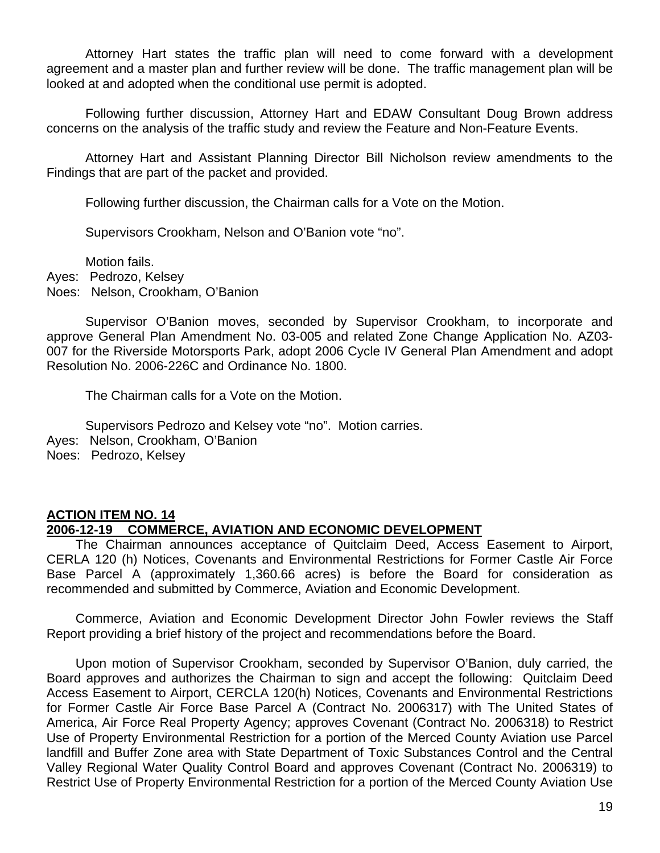Attorney Hart states the traffic plan will need to come forward with a development agreement and a master plan and further review will be done. The traffic management plan will be looked at and adopted when the conditional use permit is adopted.

 Following further discussion, Attorney Hart and EDAW Consultant Doug Brown address concerns on the analysis of the traffic study and review the Feature and Non-Feature Events.

 Attorney Hart and Assistant Planning Director Bill Nicholson review amendments to the Findings that are part of the packet and provided.

Following further discussion, the Chairman calls for a Vote on the Motion.

Supervisors Crookham, Nelson and O'Banion vote "no".

Motion fails.

Ayes: Pedrozo, Kelsey

Noes: Nelson, Crookham, O'Banion

 Supervisor O'Banion moves, seconded by Supervisor Crookham, to incorporate and approve General Plan Amendment No. 03-005 and related Zone Change Application No. AZ03- 007 for the Riverside Motorsports Park, adopt 2006 Cycle IV General Plan Amendment and adopt Resolution No. 2006-226C and Ordinance No. 1800.

The Chairman calls for a Vote on the Motion.

Supervisors Pedrozo and Kelsey vote "no". Motion carries.

Ayes: Nelson, Crookham, O'Banion

Noes: Pedrozo, Kelsey

#### **ACTION ITEM NO. 14 2006-12-19 COMMERCE, AVIATION AND ECONOMIC DEVELOPMENT**

 The Chairman announces acceptance of Quitclaim Deed, Access Easement to Airport, CERLA 120 (h) Notices, Covenants and Environmental Restrictions for Former Castle Air Force Base Parcel A (approximately 1,360.66 acres) is before the Board for consideration as recommended and submitted by Commerce, Aviation and Economic Development.

 Commerce, Aviation and Economic Development Director John Fowler reviews the Staff Report providing a brief history of the project and recommendations before the Board.

 Upon motion of Supervisor Crookham, seconded by Supervisor O'Banion, duly carried, the Board approves and authorizes the Chairman to sign and accept the following: Quitclaim Deed Access Easement to Airport, CERCLA 120(h) Notices, Covenants and Environmental Restrictions for Former Castle Air Force Base Parcel A (Contract No. 2006317) with The United States of America, Air Force Real Property Agency; approves Covenant (Contract No. 2006318) to Restrict Use of Property Environmental Restriction for a portion of the Merced County Aviation use Parcel landfill and Buffer Zone area with State Department of Toxic Substances Control and the Central Valley Regional Water Quality Control Board and approves Covenant (Contract No. 2006319) to Restrict Use of Property Environmental Restriction for a portion of the Merced County Aviation Use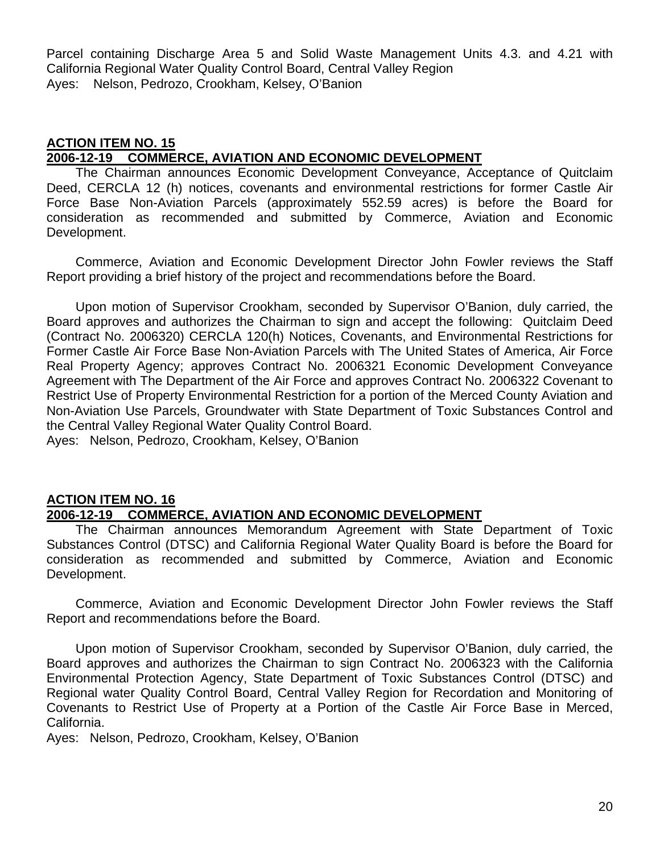Parcel containing Discharge Area 5 and Solid Waste Management Units 4.3. and 4.21 with California Regional Water Quality Control Board, Central Valley Region Ayes: Nelson, Pedrozo, Crookham, Kelsey, O'Banion

#### **ACTION ITEM NO. 15 2006-12-19 COMMERCE, AVIATION AND ECONOMIC DEVELOPMENT**

 The Chairman announces Economic Development Conveyance, Acceptance of Quitclaim Deed, CERCLA 12 (h) notices, covenants and environmental restrictions for former Castle Air Force Base Non-Aviation Parcels (approximately 552.59 acres) is before the Board for consideration as recommended and submitted by Commerce, Aviation and Economic Development.

 Commerce, Aviation and Economic Development Director John Fowler reviews the Staff Report providing a brief history of the project and recommendations before the Board.

 Upon motion of Supervisor Crookham, seconded by Supervisor O'Banion, duly carried, the Board approves and authorizes the Chairman to sign and accept the following: Quitclaim Deed (Contract No. 2006320) CERCLA 120(h) Notices, Covenants, and Environmental Restrictions for Former Castle Air Force Base Non-Aviation Parcels with The United States of America, Air Force Real Property Agency; approves Contract No. 2006321 Economic Development Conveyance Agreement with The Department of the Air Force and approves Contract No. 2006322 Covenant to Restrict Use of Property Environmental Restriction for a portion of the Merced County Aviation and Non-Aviation Use Parcels, Groundwater with State Department of Toxic Substances Control and the Central Valley Regional Water Quality Control Board.

Ayes: Nelson, Pedrozo, Crookham, Kelsey, O'Banion

# **ACTION ITEM NO. 16 2006-12-19 COMMERCE, AVIATION AND ECONOMIC DEVELOPMENT**

 The Chairman announces Memorandum Agreement with State Department of Toxic Substances Control (DTSC) and California Regional Water Quality Board is before the Board for consideration as recommended and submitted by Commerce, Aviation and Economic Development.

 Commerce, Aviation and Economic Development Director John Fowler reviews the Staff Report and recommendations before the Board.

 Upon motion of Supervisor Crookham, seconded by Supervisor O'Banion, duly carried, the Board approves and authorizes the Chairman to sign Contract No. 2006323 with the California Environmental Protection Agency, State Department of Toxic Substances Control (DTSC) and Regional water Quality Control Board, Central Valley Region for Recordation and Monitoring of Covenants to Restrict Use of Property at a Portion of the Castle Air Force Base in Merced, California.

Ayes: Nelson, Pedrozo, Crookham, Kelsey, O'Banion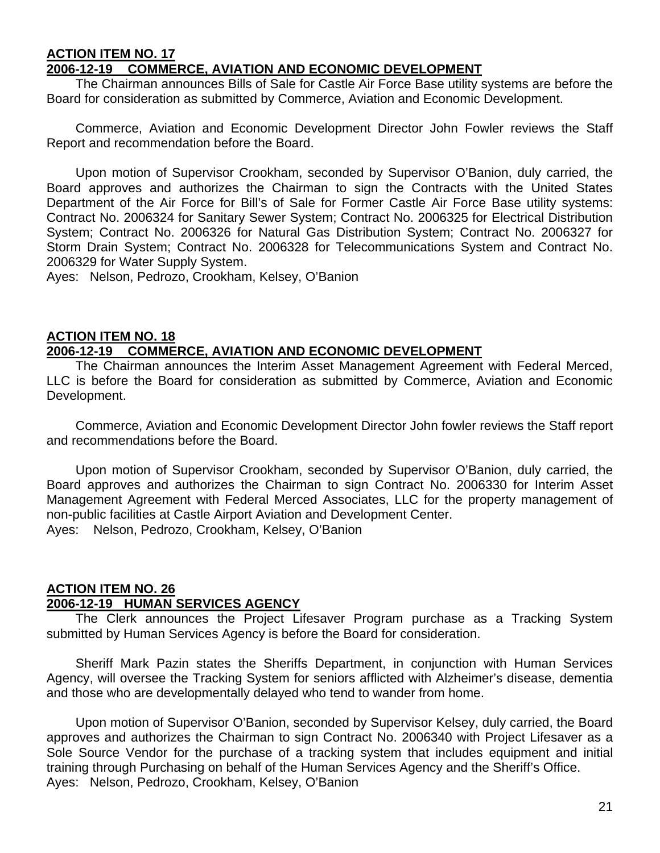#### **ACTION ITEM NO. 17 2006-12-19 COMMERCE, AVIATION AND ECONOMIC DEVELOPMENT**

 The Chairman announces Bills of Sale for Castle Air Force Base utility systems are before the Board for consideration as submitted by Commerce, Aviation and Economic Development.

 Commerce, Aviation and Economic Development Director John Fowler reviews the Staff Report and recommendation before the Board.

 Upon motion of Supervisor Crookham, seconded by Supervisor O'Banion, duly carried, the Board approves and authorizes the Chairman to sign the Contracts with the United States Department of the Air Force for Bill's of Sale for Former Castle Air Force Base utility systems: Contract No. 2006324 for Sanitary Sewer System; Contract No. 2006325 for Electrical Distribution System; Contract No. 2006326 for Natural Gas Distribution System; Contract No. 2006327 for Storm Drain System; Contract No. 2006328 for Telecommunications System and Contract No. 2006329 for Water Supply System.

Ayes: Nelson, Pedrozo, Crookham, Kelsey, O'Banion

#### **ACTION ITEM NO. 18 2006-12-19 COMMERCE, AVIATION AND ECONOMIC DEVELOPMENT**

 The Chairman announces the Interim Asset Management Agreement with Federal Merced, LLC is before the Board for consideration as submitted by Commerce, Aviation and Economic Development.

 Commerce, Aviation and Economic Development Director John fowler reviews the Staff report and recommendations before the Board.

 Upon motion of Supervisor Crookham, seconded by Supervisor O'Banion, duly carried, the Board approves and authorizes the Chairman to sign Contract No. 2006330 for Interim Asset Management Agreement with Federal Merced Associates, LLC for the property management of non-public facilities at Castle Airport Aviation and Development Center. Ayes: Nelson, Pedrozo, Crookham, Kelsey, O'Banion

#### **ACTION ITEM NO. 26 2006-12-19 HUMAN SERVICES AGENCY**

 The Clerk announces the Project Lifesaver Program purchase as a Tracking System submitted by Human Services Agency is before the Board for consideration.

 Sheriff Mark Pazin states the Sheriffs Department, in conjunction with Human Services Agency, will oversee the Tracking System for seniors afflicted with Alzheimer's disease, dementia and those who are developmentally delayed who tend to wander from home.

 Upon motion of Supervisor O'Banion, seconded by Supervisor Kelsey, duly carried, the Board approves and authorizes the Chairman to sign Contract No. 2006340 with Project Lifesaver as a Sole Source Vendor for the purchase of a tracking system that includes equipment and initial training through Purchasing on behalf of the Human Services Agency and the Sheriff's Office. Ayes: Nelson, Pedrozo, Crookham, Kelsey, O'Banion